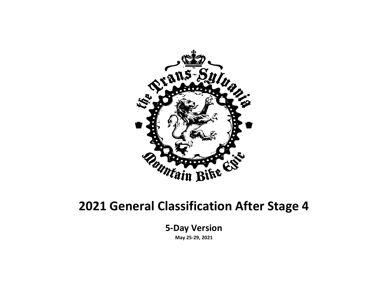

#### **2021 General Classification After Stage 4**

**5-Day Version May 25-29, 2021**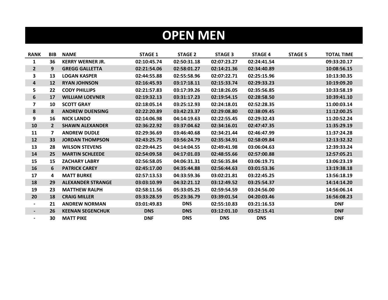#### **OPEN MEN**

| <b>RANK</b>              | <b>BIB</b>   | <b>NAME</b>              | <b>STAGE 1</b> | <b>STAGE 2</b> | <b>STAGE 3</b> | <b>STAGE 4</b> | <b>STAGE 5</b> | <b>TOTAL TIME</b> |
|--------------------------|--------------|--------------------------|----------------|----------------|----------------|----------------|----------------|-------------------|
| $\mathbf{1}$             | 36           | <b>KERRY WERNER JR.</b>  | 02:10:45.74    | 02:50:31.18    | 02:07:23.27    | 02:24:41.54    |                | 09:33:20.17       |
| 2 <sup>1</sup>           | 9            | <b>GREGG GALLETTA</b>    | 02:21:54.06    | 02:58:01.27    | 02:14:21.36    | 02:34:40.89    |                | 10:08:56.15       |
| 3                        | 13           | <b>LOGAN KASPER</b>      | 02:44:55.88    | 02:55:58.96    | 02:07:22.71    | 02:25:15.96    |                | 10:13:30.35       |
| 4                        | 12           | <b>RYAN JOHNSON</b>      | 02:16:45.93    | 03:17:18.11    | 02:15:33.74    | 02:29:33.23    |                | 10:19:09.20       |
| 5                        | 22           | <b>CODY PHILLIPS</b>     | 02:21:57.83    | 03:17:39.26    | 02:18:26.05    | 02:35:56.85    |                | 10:33:58.19       |
| 6                        | 17           | <b>WILLIAM LOEVNER</b>   | 02:19:32.13    | 03:31:17.23    | 02:19:54.15    | 02:28:58.50    |                | 10:39:41.10       |
| $\overline{7}$           | 10           | <b>SCOTT GRAY</b>        | 02:18:05.14    | 03:25:12.93    | 02:24:18.01    | 02:52:28.35    |                | 11:00:03.14       |
| 8                        | 8            | <b>ANDREW DUENSING</b>   | 02:22:20.89    | 03:42:23.37    | 02:29:08.80    | 02:38:09.45    |                | 11:12:00.25       |
| 9                        | 16           | <b>NICK LANDO</b>        | 02:14:06.98    | 04:14:19.63    | 02:22:55.45    | 02:29:32.43    |                | 11:20:52.24       |
| 10                       | $\mathbf{2}$ | <b>SHAWN ALEXANDER</b>   | 02:36:22.92    | 03:37:04.62    | 02:34:16.01    | 02:47:47.35    |                | 11:35:29.19       |
| 11                       | $\mathbf{z}$ | <b>ANDREW DUDLE</b>      | 02:29:36.69    | 03:46:40.68    | 02:34:21.44    | 02:46:47.99    |                | 11:37:24.28       |
| 12                       | 33           | <b>JORDAN THOMPSON</b>   | 02:43:25.75    | 03:56:24.79    | 02:35:34.91    | 02:58:09.84    |                | 12:13:32.32       |
| 13                       | 28           | <b>WILSON STEVENS</b>    | 02:29:44.25    | 04:14:04.55    | 02:49:41.98    | 03:06:04.63    |                | 12:39:33.24       |
| 14                       | 25           | <b>MARTIN SCHLEEDE</b>   | 02:54:09.58    | 04:17:01.03    | 02:48:55.66    | 02:57:00.88    |                | 12:57:05.21       |
| 15                       | 15           | <b>ZACHARY LABRY</b>     | 02:56:58.05    | 04:06:31.31    | 02:56:35.84    | 03:06:19.71    |                | 13:06:23.19       |
| 16                       | 6            | <b>PATRICK CAREY</b>     | 02:45:17.00    | 04:35:44.88    | 02:56:44.63    | 03:01:53.36    |                | 13:19:38.18       |
| 17                       | 4            | <b>MATT BURKE</b>        | 02:57:13.53    | 04:33:59.36    | 03:02:21.81    | 03:22:45.25    |                | 13:56:18.19       |
| 18                       | 29           | <b>ALEXANDER STRANGE</b> | 03:03:10.99    | 04:32:21.12    | 03:12:49.52    | 03:25:54.37    |                | 14:14:14.20       |
| 19                       | 23           | <b>MATTHEW RALPH</b>     | 02:58:11.56    | 05:33:05.25    | 02:59:54.59    | 03:24:56.00    |                | 14:56:06.14       |
| 20                       | 18           | <b>CRAIG MILLER</b>      | 03:33:28.59    | 05:23:36.79    | 03:39:01.54    | 04:20:03.46    |                | 16:56:08.23       |
| -                        | 21           | <b>ANDREW NORMAN</b>     | 03:01:49.83    | <b>DNS</b>     | 02:55:10.83    | 03:21:16.53    |                | <b>DNF</b>        |
| $\blacksquare$           | 26           | <b>KEENAN SEGENCHUK</b>  | <b>DNS</b>     | <b>DNS</b>     | 03:12:01.10    | 03:52:15.41    |                | <b>DNF</b>        |
| $\overline{\phantom{0}}$ | 30           | <b>MATT PIKE</b>         | <b>DNF</b>     | <b>DNS</b>     | <b>DNS</b>     | <b>DNS</b>     |                | <b>DNF</b>        |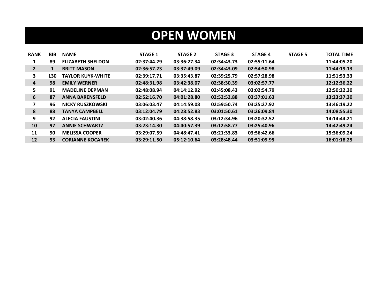## **OPEN WOMEN**

| <b>RANK</b>    | <b>BIB</b> | <b>NAME</b>              | <b>STAGE 1</b> | <b>STAGE 2</b> | <b>STAGE 3</b> | <b>STAGE 4</b> | <b>STAGE 5</b> | <b>TOTAL TIME</b> |
|----------------|------------|--------------------------|----------------|----------------|----------------|----------------|----------------|-------------------|
|                | 89         | <b>ELIZABETH SHELDON</b> | 02:37:44.29    | 03:36:27.34    | 02:34:43.73    | 02:55:11.64    |                | 11:44:05.20       |
| $\overline{2}$ | 1          | <b>BRITT MASON</b>       | 02:36:57.23    | 03:37:49.09    | 02:34:43.09    | 02:54:50.98    |                | 11:44:19.13       |
| 3              | 130        | <b>TAYLOR KUYK-WHITE</b> | 02:39:17.71    | 03:35:43.87    | 02:39:25.79    | 02:57:28.98    |                | 11:51:53.33       |
| 4              | 98         | <b>EMILY WERNER</b>      | 02:48:31.98    | 03:42:38.07    | 02:38:30.39    | 03:02:57.77    |                | 12:12:36.22       |
| 5              | 91         | <b>MADELINE DEPMAN</b>   | 02:48:08.94    | 04:14:12.92    | 02:45:08.43    | 03:02:54.79    |                | 12:50:22.30       |
| 6              | 87         | <b>ANNA BARENSFELD</b>   | 02:52:16.70    | 04:01:28.80    | 02:52:52.88    | 03:37:01.63    |                | 13:23:37.30       |
| 7              | 96         | NICKY RUSZKOWSKI         | 03:06:03.47    | 04:14:59.08    | 02:59:50.74    | 03:25:27.92    |                | 13:46:19.22       |
| 8              | 88         | <b>TANYA CAMPBELL</b>    | 03:12:04.79    | 04:28:52.83    | 03:01:50.61    | 03:26:09.84    |                | 14:08:55.30       |
| 9              | 92         | <b>ALECIA FAUSTINI</b>   | 03:02:40.36    | 04:38:58.35    | 03:12:34.96    | 03:20:32.52    |                | 14:14:44.21       |
| 10             | 97         | <b>ANNIE SCHWARTZ</b>    | 03:23:14.30    | 04:40:57.39    | 03:12:58.77    | 03:25:40.96    |                | 14:42:49.24       |
| 11             | 90         | <b>MELISSA COOPER</b>    | 03:29:07.59    | 04:48:47.41    | 03:21:33.83    | 03:56:42.66    |                | 15:36:09.24       |
| 12             | 93         | <b>CORIANNE KOCAREK</b>  | 03:29:11.50    | 05:12:10.64    | 03:28:48.44    | 03:51:09.95    |                | 16:01:18.25       |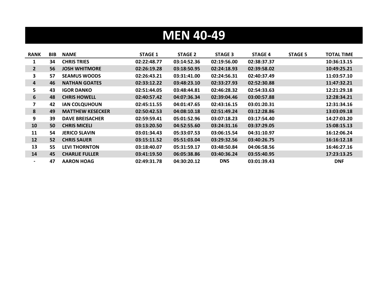## **MEN 40-49**

| <b>RANK</b>              | <b>BIB</b> | <b>NAME</b>             | <b>STAGE 1</b> | <b>STAGE 2</b> | <b>STAGE 3</b> | <b>STAGE 4</b> | <b>STAGE 5</b> | TOTAL TIME  |
|--------------------------|------------|-------------------------|----------------|----------------|----------------|----------------|----------------|-------------|
| 1                        | 34         | <b>CHRIS TRIES</b>      | 02:22:48.77    | 03:14:52.36    | 02:19:56.00    | 02:38:37.37    |                | 10:36:13.15 |
| $\mathbf{2}$             | 56         | <b>JOSH WHITMORE</b>    | 02:26:19.28    | 03:18:50.95    | 02:24:18.93    | 02:39:58.02    |                | 10:49:25.21 |
| 3                        | 57         | <b>SEAMUS WOODS</b>     | 02:26:43.21    | 03:31:41.00    | 02:24:56.31    | 02:40:37.49    |                | 11:03:57.10 |
| 4                        | 46         | <b>NATHAN GOATES</b>    | 02:33:12.22    | 03:48:23.10    | 02:33:27.93    | 02:52:30.88    |                | 11:47:32.21 |
| 5.                       | 43         | <b>IGOR DANKO</b>       | 02:51:44.05    | 03:48:44.81    | 02:46:28.32    | 02:54:33.63    |                | 12:21:29.18 |
| 6                        | 48         | <b>CHRIS HOWELL</b>     | 02:40:57.42    | 04:07:36.34    | 02:39:04.46    | 03:00:57.88    |                | 12:28:34.21 |
| 7                        | 42         | <b>IAN COLQUHOUN</b>    | 02:45:11.55    | 04:01:47.65    | 02:43:16.15    | 03:01:20.31    |                | 12:31:34.16 |
| 8                        | 49         | <b>MATTHEW KESECKER</b> | 02:50:42.53    | 04:08:10.18    | 02:51:49.24    | 03:12:28.86    |                | 13:03:09.18 |
| 9                        | 39         | <b>DAVE BREISACHER</b>  | 02:59:59.41    | 05:01:52.96    | 03:07:18.23    | 03:17:54.40    |                | 14:27:03.20 |
| 10                       | 50         | <b>CHRIS MICELI</b>     | 03:13:20.50    | 04:52:55.60    | 03:24:31.16    | 03:37:29.05    |                | 15:08:15.13 |
| 11                       | 54         | <b>JERICO SLAVIN</b>    | 03:01:34.43    | 05:33:07.53    | 03:06:15.54    | 04:31:10.97    |                | 16:12:06.24 |
| 12                       | 52         | <b>CHRIS SAUER</b>      | 03:15:11.52    | 05:51:03.04    | 03:29:32.56    | 03:40:26.75    |                | 16:16:12.18 |
| 13                       | 55         | <b>LEVI THORNTON</b>    | 03:18:40.07    | 05:31:59.17    | 03:48:50.84    | 04:06:58.56    |                | 16:46:27.16 |
| 14                       | 45         | <b>CHARLIE FULLER</b>   | 03:41:19.50    | 06:05:38.86    | 03:40:36.24    | 03:55:40.95    |                | 17:23:13.25 |
| $\overline{\phantom{0}}$ | 47         | <b>AARON HOAG</b>       | 02:49:31.78    | 04:30:20.12    | <b>DNS</b>     | 03:01:39.43    |                | <b>DNF</b>  |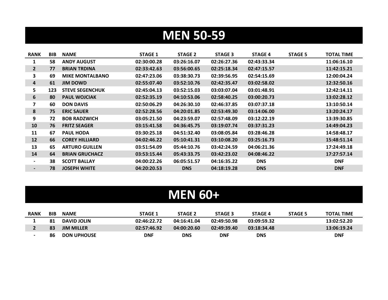#### **MEN 50-59**

| <b>RANK</b>              | BIB | <b>NAME</b>            | <b>STAGE 1</b> | <b>STAGE 2</b> | <b>STAGE 3</b> | <b>STAGE 4</b> | <b>STAGE 5</b> | <b>TOTAL TIME</b> |
|--------------------------|-----|------------------------|----------------|----------------|----------------|----------------|----------------|-------------------|
| 1                        | 58  | <b>ANDY AUGUST</b>     | 02:30:00.28    | 03:26:16.07    | 02:26:27.36    | 02:43:33.34    |                | 11:06:16.10       |
| $\mathbf{2}$             | 77  | <b>BRIAN TRDINA</b>    | 02:33:42.63    | 03:56:00.65    | 02:25:18.34    | 02:47:15.57    |                | 11:42:15.21       |
| 3                        | 69  | <b>MIKE MONTALBANO</b> | 02:47:23.06    | 03:38:30.73    | 02:39:56.95    | 02:54:15.69    |                | 12:00:04.24       |
| 4                        | 61  | <b>JIM DOWD</b>        | 02:55:07.40    | 03:52:10.76    | 02:42:35.47    | 03:02:58.02    |                | 12:32:50.16       |
| 5                        | 123 | <b>STEVE SEGENCHUK</b> | 02:45:04.13    | 03:52:15.03    | 03:03:07.04    | 03:01:48.91    |                | 12:42:14.11       |
| 6                        | 80  | <b>PAUL WOJCIAK</b>    | 02:52:35.19    | 04:10:53.06    | 02:58:40.25    | 03:00:20.73    |                | 13:02:28.12       |
| 7                        | 60  | <b>DON DAVIS</b>       | 02:50:06.29    | 04:26:30.10    | 02:46:37.85    | 03:07:37.18    |                | 13:10:50.14       |
| 8                        | 75  | <b>ERIC SAUER</b>      | 02:52:28.56    | 04:20:01.85    | 02:53:49.30    | 03:14:06.00    |                | 13:20:24.17       |
| 9                        | 72  | <b>BOB RADZWICH</b>    | 03:05:21.50    | 04:23:59.07    | 02:57:48.09    | 03:12:22.19    |                | 13:39:30.85       |
| 10                       | 76  | <b>FRITZ SEAGER</b>    | 03:15:41.58    | 04:36:45.75    | 03:19:07.74    | 03:37:31.23    |                | 14:49:04.23       |
| 11                       | 67  | <b>PAUL HODA</b>       | 03:30:25.18    | 04:51:32.40    | 03:08:05.84    | 03:28:46.28    |                | 14:58:48.17       |
| 12                       | 66  | <b>COREY HILLIARD</b>  | 04:02:46.22    | 05:10:41.31    | 03:10:08.20    | 03:25:16.73    |                | 15:48:51.14       |
| 13                       | 65  | <b>ARTURO GUILLEN</b>  | 03:51:54.09    | 05:44:10.76    | 03:42:24.59    | 04:06:21.36    |                | 17:24:49.18       |
| 14                       | 64  | <b>BRIAN GRUCHACZ</b>  | 03:53:15.44    | 05:43:33.75    | 03:42:23.02    | 04:08:46.22    |                | 17:27:57.14       |
| $\overline{\phantom{0}}$ | 38  | <b>SCOTT BALLAY</b>    | 04:00:22.26    | 06:05:51.57    | 04:16:35.22    | <b>DNS</b>     |                | <b>DNF</b>        |
| ۰.                       | 78  | <b>JOSEPH WHITE</b>    | 04:20:20.53    | <b>DNS</b>     | 04:18:19.28    | <b>DNS</b>     |                | <b>DNF</b>        |

#### **MEN 60+**

| <b>RANK</b> | <b>BIB</b> | <b>NAME</b>        | STAGE 1     | <b>STAGE 2</b> | <b>STAGE 3</b> | <b>STAGE 4</b> | <b>STAGE 5</b> | <b>TOTAL TIME</b> |
|-------------|------------|--------------------|-------------|----------------|----------------|----------------|----------------|-------------------|
|             | 81         | <b>DAVID JOLIN</b> | 02:46:22.72 | 04:16:41.04    | 02:49:50.98    | 03:09:59.32    |                | 13:02:52.20       |
|             | 83         | <b>JIM MILLER</b>  | 02:57:46.92 | 04:00:20.60    | 02:49:39.40    | 03:18:34.48    |                | 13:06:19.24       |
|             | 86         | <b>DON UPHOUSE</b> | DNF         | DNS            | <b>DNF</b>     | DNS            |                | DNF               |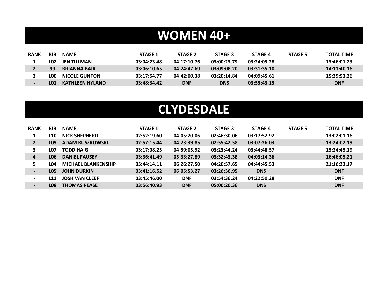#### **WOMEN 40+**

| <b>RANK</b> | BIB | <b>NAME</b>          | <b>STAGE 1</b> | <b>STAGE 2</b> | <b>STAGE 3</b> | <b>STAGE 4</b> | STAGE 5 | <b>TOTAL TIME</b> |
|-------------|-----|----------------------|----------------|----------------|----------------|----------------|---------|-------------------|
|             | 102 | JEN TILLMAN          | 03:04:23.48    | 04:17:10.76    | 03:00:23.79    | 03:24:05.28    |         | 13:46:01.23       |
|             | 99  | <b>BRIANNA BAIR</b>  | 03:06:10.65    | 04:24:47.69    | 03:09:08.20    | 03:31:35.10    |         | 14:11:40.16       |
|             | 100 | <b>NICOLE GUNTON</b> | 03:17:54.77    | 04:42:00.38    | 03:20:14.84    | 04:09:45.61    |         | 15:29:53.26       |
|             | 101 | KATHLEEN HYLAND      | 03:48:34.42    | <b>DNF</b>     | <b>DNS</b>     | 03:55:43.15    |         | <b>DNF</b>        |

#### **CLYDESDALE**

| <b>RANK</b>              | <b>BIB</b> | <b>NAME</b>                | <b>STAGE 1</b> | <b>STAGE 2</b> | <b>STAGE 3</b> | <b>STAGE 4</b> | <b>STAGE 5</b> | <b>TOTAL TIME</b> |
|--------------------------|------------|----------------------------|----------------|----------------|----------------|----------------|----------------|-------------------|
|                          | 110        | <b>NICK SHEPHERD</b>       | 02:52:19.60    | 04:05:20.06    | 02:46:30.06    | 03:17:52.92    |                | 13:02:01.16       |
| $\mathbf{2}$             | 109        | <b>ADAM RUSZKOWSKI</b>     | 02:57:15.44    | 04:23:39.85    | 02:55:42.58    | 03:07:26.03    |                | 13:24:02.19       |
| 3                        | 107        | <b>TODD HAIG</b>           | 03:17:08.25    | 04:59:05.92    | 03:23:44.24    | 03:44:48.57    |                | 15:24:45.19       |
| 4                        | 106        | <b>DANIEL FAUSEY</b>       | 03:36:41.49    | 05:33:27.89    | 03:32:43.38    | 04:03:14.36    |                | 16:46:05.21       |
| 5.                       | 104        | <b>MICHAEL BLANKENSHIP</b> | 05:44:14.11    | 06:26:27.50    | 04:20:57.65    | 04:44:45.53    |                | 21:16:23.17       |
| $\blacksquare$           | 105        | <b>JOHN DURKIN</b>         | 03:41:16.52    | 06:05:53.27    | 03:26:36.95    | <b>DNS</b>     |                | <b>DNF</b>        |
| $\blacksquare$           | 111        | <b>JOSH VAN CLEEF</b>      | 03:45:46.00    | <b>DNF</b>     | 03:54:36.24    | 04:22:50.28    |                | <b>DNF</b>        |
| $\overline{\phantom{0}}$ | 108        | <b>THOMAS PEASE</b>        | 03:56:40.93    | <b>DNF</b>     | 05:00:20.36    | <b>DNS</b>     |                | <b>DNF</b>        |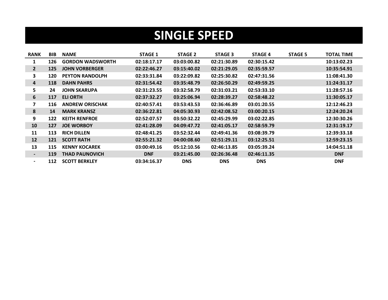#### **SINGLE SPEED**

| <b>RANK</b>              | BIB | <b>NAME</b>             | <b>STAGE 1</b> | <b>STAGE 2</b> | <b>STAGE 3</b> | <b>STAGE 4</b> | <b>STAGE 5</b> | <b>TOTAL TIME</b> |
|--------------------------|-----|-------------------------|----------------|----------------|----------------|----------------|----------------|-------------------|
| $\mathbf 1$              | 126 | <b>GORDON WADSWORTH</b> | 02:18:17.17    | 03:03:00.82    | 02:21:30.89    | 02:30:15.42    |                | 10:13:02.23       |
| $\overline{2}$           | 125 | <b>JOHN VORBERGER</b>   | 02:22:46.27    | 03:15:40.02    | 02:21:29.05    | 02:35:59.57    |                | 10:35:54.91       |
| 3.                       | 120 | <b>PEYTON RANDOLPH</b>  | 02:33:31.84    | 03:22:09.82    | 02:25:30.82    | 02:47:31.56    |                | 11:08:41.30       |
| 4                        | 118 | <b>DAHN PAHRS</b>       | 02:31:54.42    | 03:35:48.79    | 02:26:50.29    | 02:49:59.25    |                | 11:24:31.17       |
| 5.                       | 24  | <b>JOHN SKARUPA</b>     | 02:31:23.55    | 03:32:58.79    | 02:31:03.21    | 02:53:33.10    |                | 11:28:57.16       |
| 6                        | 117 | <b>ELI ORTH</b>         | 02:37:32.27    | 03:25:06.94    | 02:28:39.27    | 02:58:48.22    |                | 11:30:05.17       |
| 7                        | 116 | <b>ANDREW ORISCHAK</b>  | 02:40:57.41    | 03:53:43.53    | 02:36:46.89    | 03:01:20.55    |                | 12:12:46.23       |
| 8                        | 14  | <b>MARK KRANSZ</b>      | 02:36:22.81    | 04:05:30.93    | 02:42:08.52    | 03:00:20.15    |                | 12:24:20.24       |
| 9                        | 122 | <b>KEITH RENFROE</b>    | 02:52:07.57    | 03:50:32.22    | 02:45:29.99    | 03:02:22.85    |                | 12:30:30.26       |
| 10                       | 127 | <b>JOE WORBOY</b>       | 02:41:28.09    | 04:09:47.72    | 02:41:05.17    | 02:58:59.79    |                | 12:31:19.17       |
| 11                       | 113 | <b>RICH DILLEN</b>      | 02:48:41.25    | 03:52:32.44    | 02:49:41.36    | 03:08:39.79    |                | 12:39:33.18       |
| 12                       | 121 | <b>SCOTT RATH</b>       | 02:55:21.32    | 04:00:08.60    | 02:51:29.11    | 03:12:25.51    |                | 12:59:23.15       |
| 13                       | 115 | <b>KENNY KOCAREK</b>    | 03:00:49.16    | 05:12:10.56    | 02:46:13.85    | 03:05:39.24    |                | 14:04:51.18       |
| $\overline{\phantom{0}}$ | 119 | <b>THAD PAUNOVICH</b>   | <b>DNF</b>     | 03:21:45.00    | 02:26:36.48    | 02:46:11.35    |                | <b>DNF</b>        |
| $\overline{\phantom{0}}$ | 112 | <b>SCOTT BERKLEY</b>    | 03:34:16.37    | <b>DNS</b>     | <b>DNS</b>     | <b>DNS</b>     |                | <b>DNF</b>        |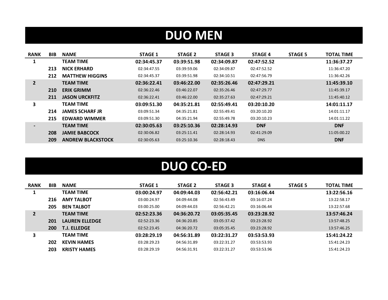# **DUO MEN**

| <b>RANK</b>    | <b>BIB</b> | <b>NAME</b>              | <b>STAGE 1</b> | <b>STAGE 2</b> | <b>STAGE 3</b> | <b>STAGE 4</b> | <b>STAGE 5</b> | <b>TOTAL TIME</b> |
|----------------|------------|--------------------------|----------------|----------------|----------------|----------------|----------------|-------------------|
| 1              |            | <b>TEAM TIME</b>         | 02:34:45.37    | 03:39:51.98    | 02:34:09.87    | 02:47:52.52    |                | 11:36:37.27       |
|                | 213        | <b>NICK ERHARD</b>       | 02:34:47.55    | 03:39:59.06    | 02:34:09.87    | 02:47:52.52    |                | 11:36:47.20       |
|                | 212        | <b>MATTHEW HIGGINS</b>   | 02:34:45.37    | 03:39:51.98    | 02:34:10.51    | 02:47:56.79    |                | 11:36:42.26       |
| $\overline{2}$ |            | <b>TEAM TIME</b>         | 02:36:22.41    | 03:46:22.00    | 02:35:26.46    | 02:47:29.21    |                | 11:45:39.10       |
|                | 210        | <b>ERIK GRIMM</b>        | 02:36:22.46    | 03:46:22.07    | 02:35:26.46    | 02:47:29.77    |                | 11:45:39.17       |
|                | 211        | <b>JASON URCKFITZ</b>    | 02:36:22.41    | 03:46:22.00    | 02:35:27.63    | 02:47:29.21    |                | 11:45:40.12       |
| 3              |            | <b>TEAM TIME</b>         | 03:09:51.30    | 04:35:21.81    | 02:55:49.41    | 03:20:10.20    |                | 14:01:11.17       |
|                | 214        | <b>JAMES SCHARF JR</b>   | 03:09:51.34    | 04:35:21.81    | 02:55:49.41    | 03:20:10.20    |                | 14:01:11.17       |
|                | 215        | <b>EDWARD WIMMER</b>     | 03:09:51.30    | 04:35:21.94    | 02:55:49.78    | 03:20:10.23    |                | 14:01:11.22       |
| $\blacksquare$ |            | <b>TEAM TIME</b>         | 02:30:05.63    | 03:25:10.36    | 02:28:14.93    | <b>DNF</b>     |                | <b>DNF</b>        |
|                | 208        | <b>JAMIE BABCOCK</b>     | 02:30:06.82    | 03:25:11.41    | 02:28:14.93    | 02:41:29.09    |                | 11:05:00.22       |
|                | 209        | <b>ANDREW BLACKSTOCK</b> | 02:30:05.63    | 03:25:10.36    | 02:28:18.43    | <b>DNS</b>     |                | <b>DNF</b>        |

# **DUO CO-ED**

| <b>RANK</b>    | <b>BIB</b> | <b>NAME</b>           | <b>STAGE 1</b> | <b>STAGE 2</b> | <b>STAGE 3</b> | <b>STAGE 4</b> | <b>STAGE 5</b> | <b>TOTAL TIME</b> |
|----------------|------------|-----------------------|----------------|----------------|----------------|----------------|----------------|-------------------|
|                |            | <b>TEAM TIME</b>      | 03:00:24.97    | 04:09:44.03    | 02:56:42.21    | 03:16:06.44    |                | 13:22:56.16       |
|                | 216        | <b>AMY TALBOT</b>     | 03:00:24.97    | 04:09:44.08    | 02:56:43.49    | 03:16:07.24    |                | 13:22:58.17       |
|                | 205        | <b>BEN TALBOT</b>     | 03:00:25.00    | 04:09:44.03    | 02:56:42.21    | 03:16:06.44    |                | 13:22:57.68       |
| $\overline{2}$ |            | <b>TEAM TIME</b>      | 02:52:23.36    | 04:36:20.72    | 03:05:35.45    | 03:23:28.92    |                | 13:57:46.24       |
|                | 201        | <b>LAUREN ELLEDGE</b> | 02:52:23.36    | 04:36:20.85    | 03:05:37.42    | 03:23:28.92    |                | 13:57:48.25       |
|                | 200        | <b>T.J. ELLEDGE</b>   | 02:52:23.45    | 04:36:20.72    | 03:05:35.45    | 03:23:28.92    |                | 13:57:46.25       |
| 3              |            | <b>TEAM TIME</b>      | 03:28:29.19    | 04:56:31.89    | 03:22:31.27    | 03:53:53.93    |                | 15:41:24.22       |
|                | 202        | <b>KEVIN HAMES</b>    | 03:28:29.23    | 04:56:31.89    | 03:22:31.27    | 03:53:53.93    |                | 15:41:24.23       |
|                | 203        | <b>KRISTY HAMES</b>   | 03:28:29.19    | 04:56:31.91    | 03:22:31.27    | 03:53:53.96    |                | 15:41:24.23       |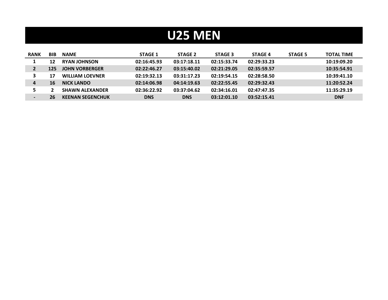#### **U25 MEN**

| <b>RANK</b> | <b>BIB</b> | <b>NAME</b>             | <b>STAGE 1</b> | <b>STAGE 2</b> | <b>STAGE 3</b> | <b>STAGE 4</b> | <b>STAGE 5</b> | <b>TOTAL TIME</b> |
|-------------|------------|-------------------------|----------------|----------------|----------------|----------------|----------------|-------------------|
|             | 12         | <b>RYAN JOHNSON</b>     | 02:16:45.93    | 03:17:18.11    | 02:15:33.74    | 02:29:33.23    |                | 10:19:09.20       |
|             | 125        | <b>JOHN VORBERGER</b>   | 02:22:46.27    | 03:15:40.02    | 02:21:29.05    | 02:35:59.57    |                | 10:35:54.91       |
|             | 17         | <b>WILLIAM LOEVNER</b>  | 02:19:32.13    | 03:31:17.23    | 02:19:54.15    | 02:28:58.50    |                | 10:39:41.10       |
| 4           | 16         | <b>NICK LANDO</b>       | 02:14:06.98    | 04:14:19.63    | 02:22:55.45    | 02:29:32.43    |                | 11:20:52.24       |
|             |            | <b>SHAWN ALEXANDER</b>  | 02:36:22.92    | 03:37:04.62    | 02:34:16.01    | 02:47:47.35    |                | 11:35:29.19       |
|             | 26         | <b>KEENAN SEGENCHUK</b> | <b>DNS</b>     | <b>DNS</b>     | 03:12:01.10    | 03:52:15.41    |                | <b>DNF</b>        |